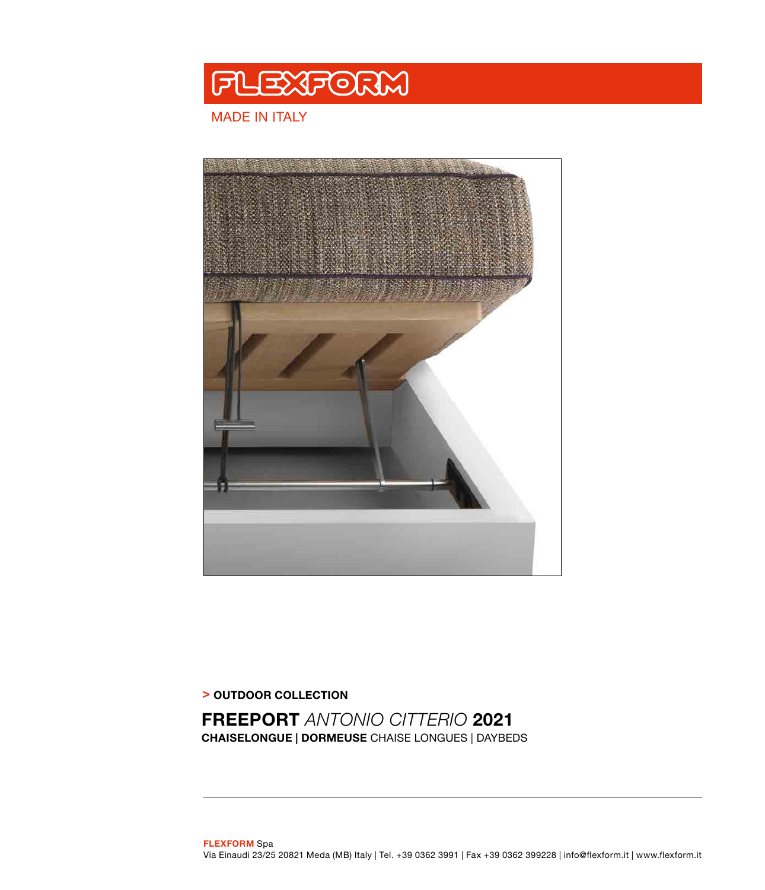FLEXFORM

**MADE IN ITALY** 



## **> OUTDOOR COLLECTION**

**FREEPORT** *ANTONIO CITTERIO* **2021 CHAISELONGUE | DORMEUSE** CHAISE LONGUES | DAYBEDS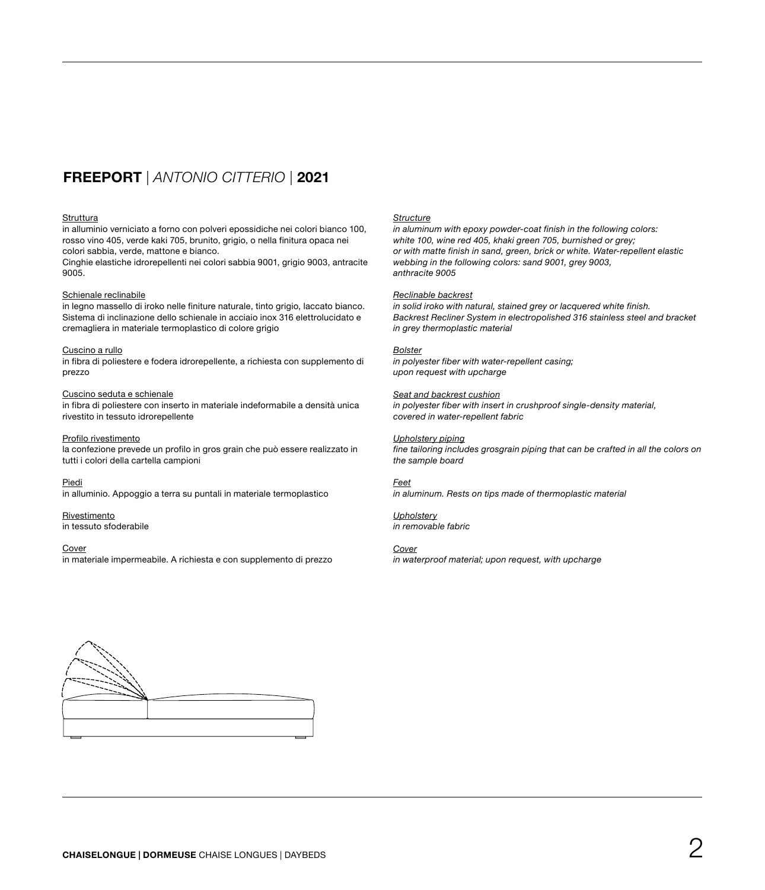# **FREEPORT** *| ANTONIO CITTERIO |* **2021**

#### **Struttura**

in alluminio verniciato a forno con polveri epossidiche nei colori bianco 100, rosso vino 405, verde kaki 705, brunito, grigio, o nella finitura opaca nei colori sabbia, verde, mattone e bianco.

Cinghie elastiche idrorepellenti nei colori sabbia 9001, grigio 9003, antracite 9005.

#### Schienale reclinabile

in legno massello di iroko nelle finiture naturale, tinto grigio, laccato bianco. Sistema di inclinazione dello schienale in acciaio inox 316 elettrolucidato e cremagliera in materiale termoplastico di colore grigio

#### Cuscino a rullo

in fibra di poliestere e fodera idrorepellente, a richiesta con supplemento di prezzo

#### Cuscino seduta e schienale

in fibra di poliestere con inserto in materiale indeformabile a densità unica rivestito in tessuto idrorepellente

#### Profilo rivestimento

la confezione prevede un profilo in gros grain che può essere realizzato in tutti i colori della cartella campioni

Piedi

in alluminio. Appoggio a terra su puntali in materiale termoplastico

#### Rivestimento in tessuto sfoderabile

**Cover** 

in materiale impermeabile. A richiesta e con supplemento di prezzo

#### *Structure*

*in aluminum with epoxy powder-coat finish in the following colors: white 100, wine red 405, khaki green 705, burnished or grey; or with matte finish in sand, green, brick or white. Water-repellent elastic webbing in the following colors: sand 9001, grey 9003, anthracite 9005*

#### *Reclinable backrest*

*in solid iroko with natural, stained grey or lacquered white finish. Backrest Recliner System in electropolished 316 stainless steel and bracket in grey thermoplastic material*

#### *Bolster*

*in polyester fiber with water-repellent casing; upon request with upcharge*

#### *Seat and backrest cushion*

*in polyester fiber with insert in crushproof single-density material, covered in water-repellent fabric*

#### *Upholstery piping*

*fine tailoring includes grosgrain piping that can be crafted in all the colors on the sample board*

### *Feet*

*in aluminum. Rests on tips made of thermoplastic material*

### *Upholstery*

*in removable fabric*

#### *Cover*

*in waterproof material; upon request, with upcharge*

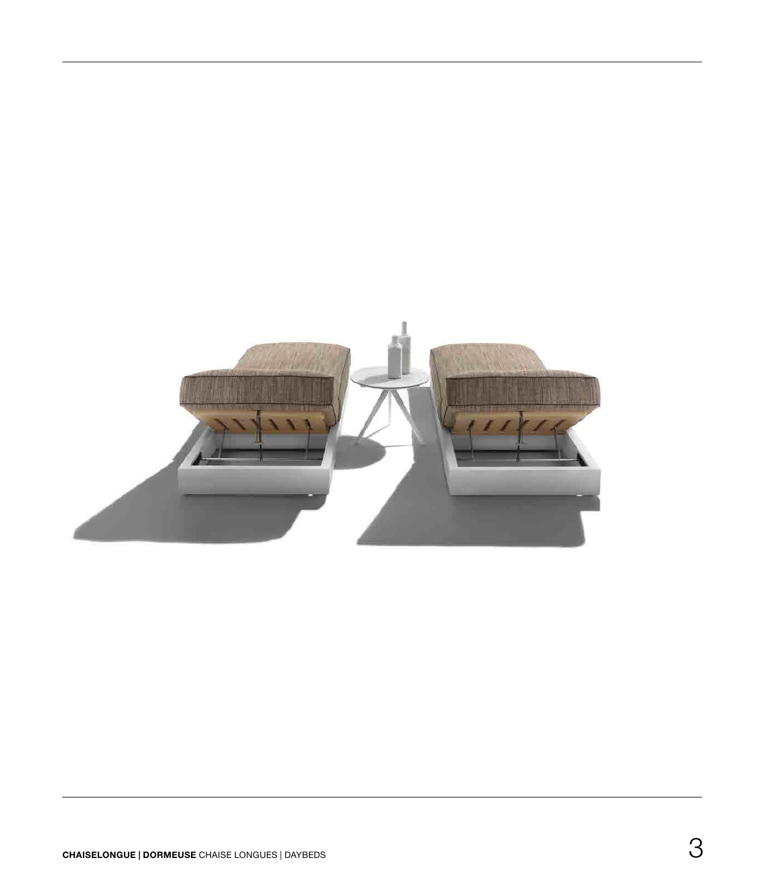